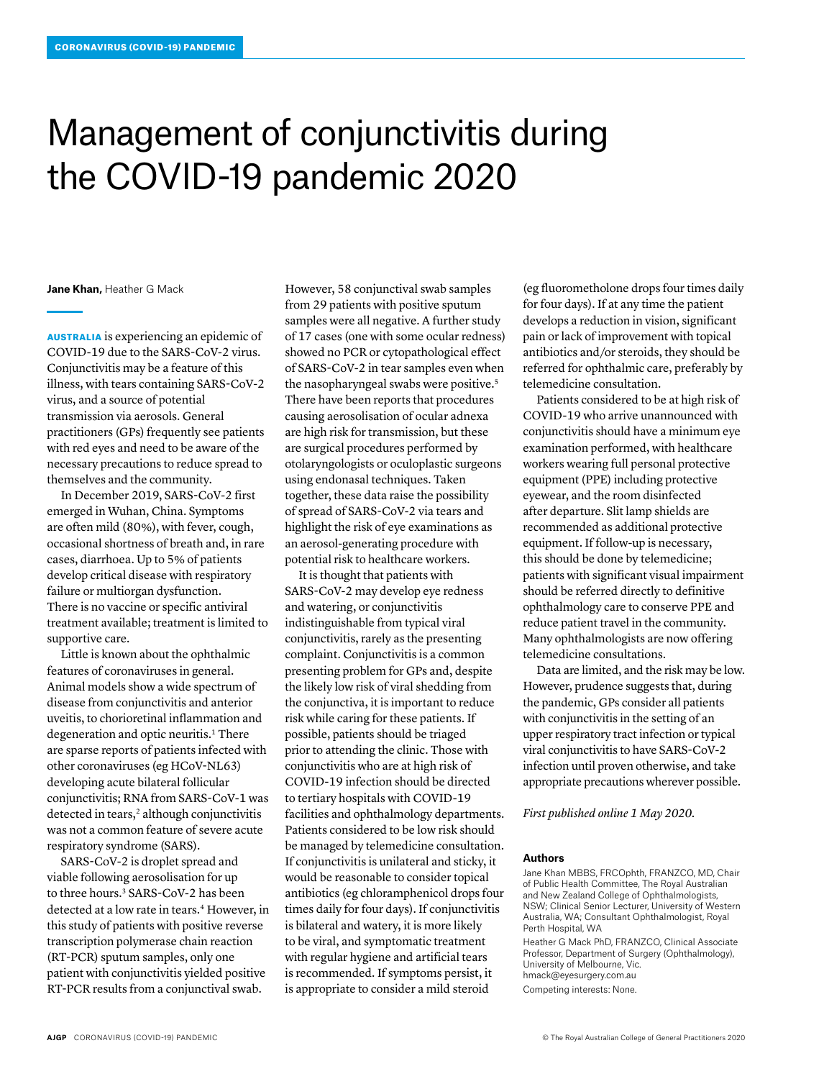## Management of conjunctivitis during the COVID-19 pandemic 2020

**Jane Khan,** Heather G Mack

AUSTRALIA is experiencing an epidemic of COVID-19 due to the SARS-CoV-2 virus. Conjunctivitis may be a feature of this illness, with tears containing SARS-CoV-2 virus, and a source of potential transmission via aerosols. General practitioners (GPs) frequently see patients with red eyes and need to be aware of the necessary precautions to reduce spread to themselves and the community.

In December 2019, SARS-CoV-2 first emerged in Wuhan, China. Symptoms are often mild (80%), with fever, cough, occasional shortness of breath and, in rare cases, diarrhoea. Up to 5% of patients develop critical disease with respiratory failure or multiorgan dysfunction. There is no vaccine or specific antiviral treatment available; treatment is limited to supportive care.

Little is known about the ophthalmic features of coronaviruses in general. Animal models show a wide spectrum of disease from conjunctivitis and anterior uveitis, to chorioretinal inflammation and degeneration and optic neuritis.<sup>1</sup> There are sparse reports of patients infected with other coronaviruses (eg HCoV-NL63) developing acute bilateral follicular conjunctivitis; RNA from SARS-CoV-1 was detected in tears,<sup>2</sup> although conjunctivitis was not a common feature of severe acute respiratory syndrome (SARS).

SARS-CoV-2 is droplet spread and viable following aerosolisation for up to three hours.<sup>3</sup> SARS-CoV-2 has been detected at a low rate in tears.<sup>4</sup> However, in this study of patients with positive reverse transcription polymerase chain reaction (RT-PCR) sputum samples, only one patient with conjunctivitis yielded positive RT-PCR results from a conjunctival swab.

However, 58 conjunctival swab samples from 29 patients with positive sputum samples were all negative. A further study of 17 cases (one with some ocular redness) showed no PCR or cytopathological effect of SARS-CoV-2 in tear samples even when the nasopharyngeal swabs were positive.5 There have been reports that procedures causing aerosolisation of ocular adnexa are high risk for transmission, but these are surgical procedures performed by otolaryngologists or oculoplastic surgeons using endonasal techniques. Taken together, these data raise the possibility of spread of SARS-CoV-2 via tears and highlight the risk of eye examinations as an aerosol-generating procedure with potential risk to healthcare workers.

It is thought that patients with SARS-CoV-2 may develop eye redness and watering, or conjunctivitis indistinguishable from typical viral conjunctivitis, rarely as the presenting complaint. Conjunctivitis is a common presenting problem for GPs and, despite the likely low risk of viral shedding from the conjunctiva, it is important to reduce risk while caring for these patients. If possible, patients should be triaged prior to attending the clinic. Those with conjunctivitis who are at high risk of COVID-19 infection should be directed to tertiary hospitals with COVID-19 facilities and ophthalmology departments. Patients considered to be low risk should be managed by telemedicine consultation. If conjunctivitis is unilateral and sticky, it would be reasonable to consider topical antibiotics (eg chloramphenicol drops four times daily for four days). If conjunctivitis is bilateral and watery, it is more likely to be viral, and symptomatic treatment with regular hygiene and artificial tears is recommended. If symptoms persist, it is appropriate to consider a mild steroid

(eg fluorometholone drops four times daily for four days). If at any time the patient develops a reduction in vision, significant pain or lack of improvement with topical antibiotics and/or steroids, they should be referred for ophthalmic care, preferably by telemedicine consultation.

Patients considered to be at high risk of COVID-19 who arrive unannounced with conjunctivitis should have a minimum eye examination performed, with healthcare workers wearing full personal protective equipment (PPE) including protective eyewear, and the room disinfected after departure. Slit lamp shields are recommended as additional protective equipment. If follow-up is necessary, this should be done by telemedicine; patients with significant visual impairment should be referred directly to definitive ophthalmology care to conserve PPE and reduce patient travel in the community. Many ophthalmologists are now offering telemedicine consultations.

Data are limited, and the risk may be low. However, prudence suggests that, during the pandemic, GPs consider all patients with conjunctivitis in the setting of an upper respiratory tract infection or typical viral conjunctivitis to have SARS-CoV-2 infection until proven otherwise, and take appropriate precautions wherever possible.

*First published online 1 May 2020.*

## **Authors**

Jane Khan MBBS, FRCOphth, FRANZCO, MD, Chair of Public Health Committee, The Royal Australian and New Zealand College of Ophthalmologists, NSW; Clinical Senior Lecturer, University of Western Australia, WA; Consultant Ophthalmologist, Royal Perth Hospital, WA

Heather G Mack PhD, FRANZCO, Clinical Associate Professor, Department of Surgery (Ophthalmology), University of Melbourne, Vic. hmack@eyesurgery.com.au

Competing interests: None.